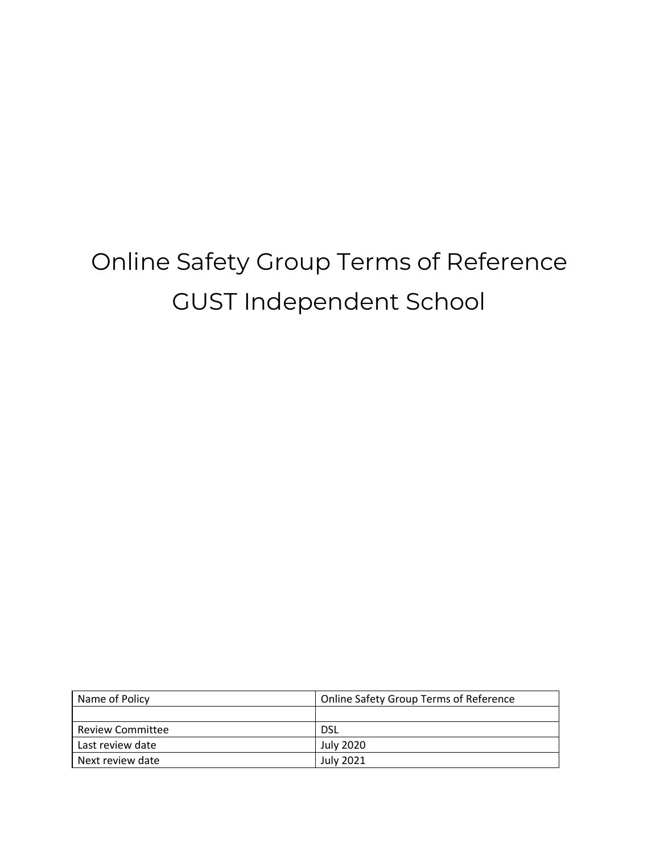# Online Safety Group Terms of Reference GUST Independent School

| Name of Policy          | <b>Online Safety Group Terms of Reference</b> |
|-------------------------|-----------------------------------------------|
|                         |                                               |
| <b>Review Committee</b> | <b>DSL</b>                                    |
| Last review date        | <b>July 2020</b>                              |
| Next review date        | <b>July 2021</b>                              |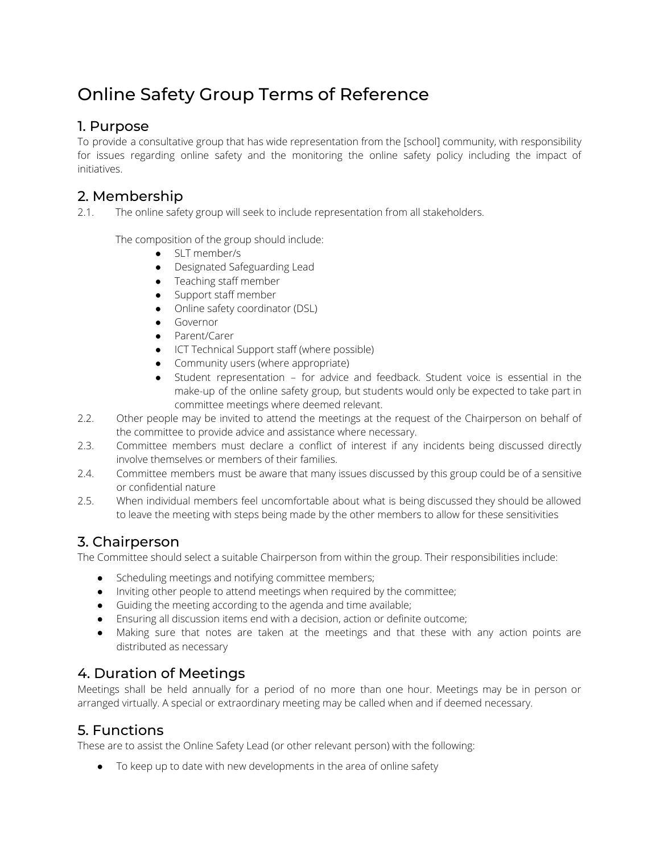# Online Safety Group Terms of Reference

#### 1. Purpose

To provide a consultative group that has wide representation from the [school] community, with responsibility for issues regarding online safety and the monitoring the online safety policy including the impact of initiatives.

# 2. Membership

2.1. The online safety group will seek to include representation from all stakeholders.

The composition of the group should include:

- SLT member/s
- Designated Safeguarding Lead
- Teaching staff member
- Support staff member
- Online safety coordinator (DSL)
- Governor
- Parent/Carer
- ICT Technical Support staff (where possible)
- Community users (where appropriate)
- Student representation for advice and feedback. Student voice is essential in the make-up of the online safety group, but students would only be expected to take part in committee meetings where deemed relevant.
- 2.2. Other people may be invited to attend the meetings at the request of the Chairperson on behalf of the committee to provide advice and assistance where necessary.
- 2.3. Committee members must declare a conflict of interest if any incidents being discussed directly involve themselves or members of their families.
- 2.4. Committee members must be aware that many issues discussed by this group could be of a sensitive or confidential nature
- 2.5. When individual members feel uncomfortable about what is being discussed they should be allowed to leave the meeting with steps being made by the other members to allow for these sensitivities

# 3. Chairperson

The Committee should select a suitable Chairperson from within the group. Their responsibilities include:

- Scheduling meetings and notifying committee members;
- Inviting other people to attend meetings when required by the committee;
- Guiding the meeting according to the agenda and time available;
- Ensuring all discussion items end with a decision, action or definite outcome;
- Making sure that notes are taken at the meetings and that these with any action points are distributed as necessary

# 4. Duration of Meetings

Meetings shall be held annually for a period of no more than one hour. Meetings may be in person or arranged virtually. A special or extraordinary meeting may be called when and if deemed necessary.

#### 5. Functions

These are to assist the Online Safety Lead (or other relevant person) with the following:

● To keep up to date with new developments in the area of online safety